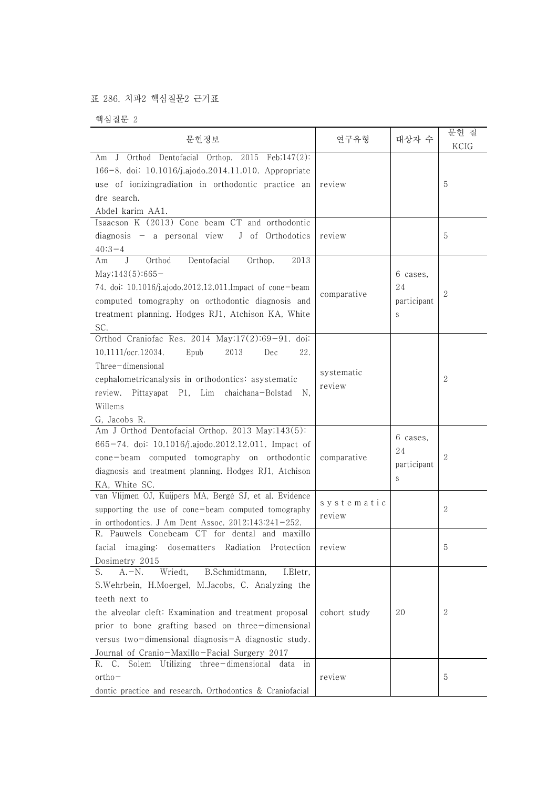## 표 286. 치과2 핵심질문2 근거표

핵심질문 2

| 문헌정보                                                                                                                                                                                                                                                                                                                                                    | 연구유형                 | 대상자 수                              | 문헌 질<br>KCIG |  |
|---------------------------------------------------------------------------------------------------------------------------------------------------------------------------------------------------------------------------------------------------------------------------------------------------------------------------------------------------------|----------------------|------------------------------------|--------------|--|
| Orthod Dentofacial Orthop. 2015 Feb;147(2):<br>J<br>Am<br>166-8. doi: 10.1016/j.ajodo.2014.11.010. Appropriate<br>use of ionizingradiation in orthodontic practice an<br>dre search.<br>Abdel karim AA1.                                                                                                                                                | review               |                                    | 5            |  |
| Isaacson K (2013) Cone beam CT and orthodontic<br>$diagnostic - a personal view$<br>J of Orthodotics<br>$40:3-4$                                                                                                                                                                                                                                        | review               |                                    | 5            |  |
| Am<br>J<br>Orthod<br>Dentofacial<br>Orthop.<br>2013<br>$May;143(5):665-$<br>74. doi: 10.1016/j.ajodo.2012.12.011.Impact of cone-beam<br>computed tomography on orthodontic diagnosis and<br>treatment planning. Hodges RJ1, Atchison KA, White<br>SC.                                                                                                   | comparative          | 6 cases,<br>24<br>participant<br>S | 2            |  |
| Orthod Craniofac Res. 2014 May;17(2):69-91. doi:<br>10.1111/ocr.12034.<br>Epub<br>2013<br>22.<br>Dec<br>Three-dimensional<br>cephalometricanalysis in orthodontics: asystematic<br>review. Pittayapat P1, Lim chaichana-Bolstad<br>N.<br>Willems<br>G, Jacobs R.                                                                                        | systematic<br>review |                                    | 2            |  |
| Am J Orthod Dentofacial Orthop. 2013 May;143(5):<br>665-74. doi: 10.1016/j.ajodo.2012.12.011. Impact of<br>cone-beam computed tomography on orthodontic<br>diagnosis and treatment planning. Hodges RJ1, Atchison<br>KA, White SC.                                                                                                                      | comparative          | 6 cases,<br>24<br>participant<br>S | 2            |  |
| van Vlijmen OJ, Kuijpers MA, Bergé SJ, et al. Evidence<br>supporting the use of cone-beam computed tomography<br>in orthodontics. J Am Dent Assoc. $2012;143:241-252$ .                                                                                                                                                                                 | systematic<br>review |                                    | 2            |  |
| R. Pauwels Conebeam CT for dental and maxillo<br>facial imaging: dosematters Radiation Protection review<br>Dosimetry 2015                                                                                                                                                                                                                              |                      |                                    | 5            |  |
| B.Schmidtmann,<br>S.<br>$A.-N.$<br>Wriedt,<br>I.Eletr,<br>S. Wehrbein, H. Moergel, M. Jacobs, C. Analyzing the<br>teeth next to<br>the alveolar cleft: Examination and treatment proposal<br>prior to bone grafting based on three-dimensional<br>versus two-dimensional diagnosis-A diagnostic study.<br>Journal of Cranio-Maxillo-Facial Surgery 2017 | cohort study         | 20                                 | 2            |  |
| Solem Utilizing three-dimensional data in<br>R.<br>C.<br>$ortho-$<br>dontic practice and research. Orthodontics & Craniofacial                                                                                                                                                                                                                          | review               |                                    | 5            |  |